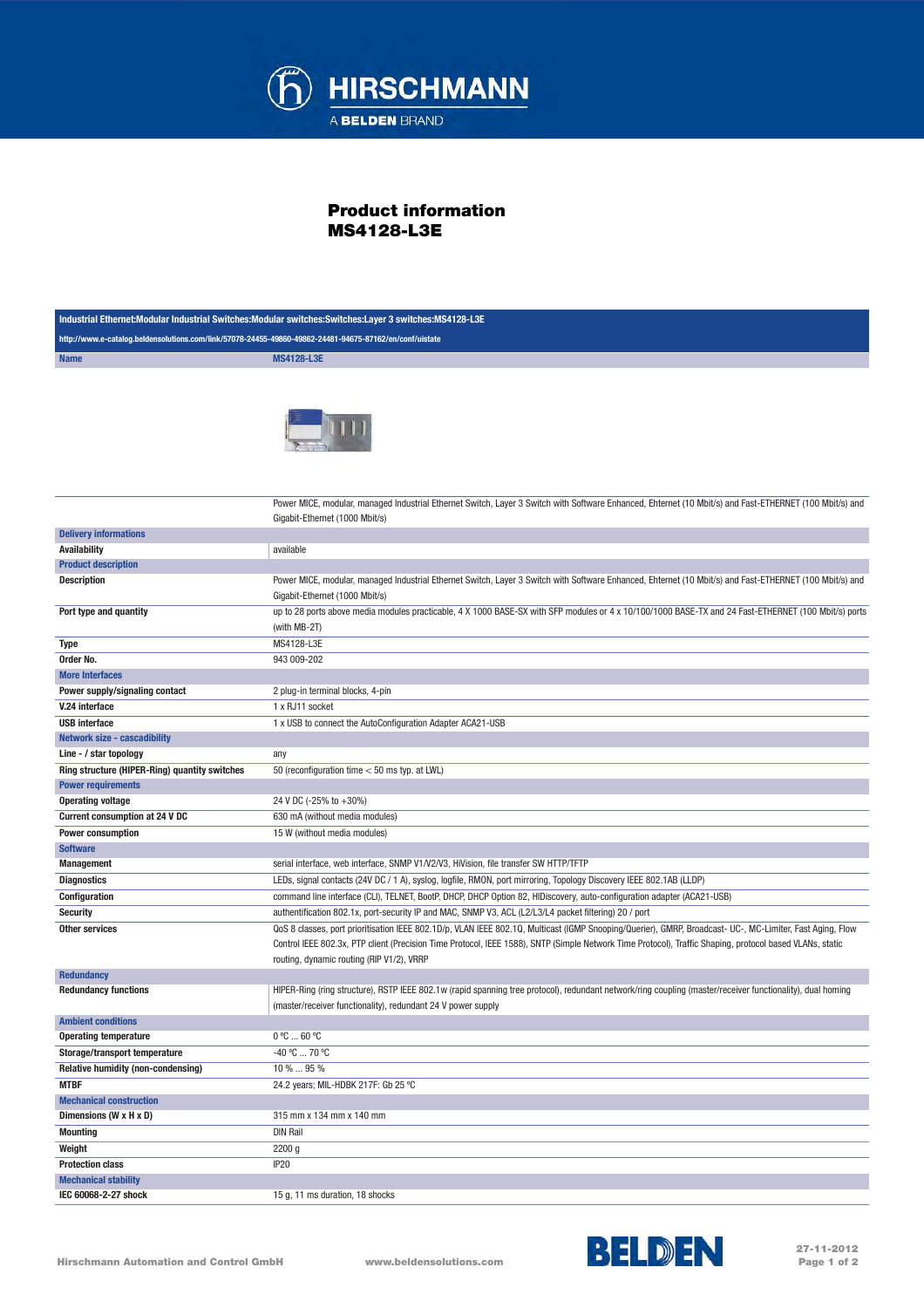

## Product information MS4128-L3E

| Industrial Ethernet:Modular Industrial Switches:Modular switches:Switches:Layer 3 switches:MS4128-L3E   |                                                                                                                                                                                                                                                                    |
|---------------------------------------------------------------------------------------------------------|--------------------------------------------------------------------------------------------------------------------------------------------------------------------------------------------------------------------------------------------------------------------|
| http://www.e-catalog.beldensolutions.com/link/57078-24455-49860-49862-24481-94675-87162/en/conf/uistate |                                                                                                                                                                                                                                                                    |
| <b>Name</b>                                                                                             | <b>MS4128-L3E</b>                                                                                                                                                                                                                                                  |
|                                                                                                         |                                                                                                                                                                                                                                                                    |
|                                                                                                         | Power MICE, modular, managed Industrial Ethernet Switch, Layer 3 Switch with Software Enhanced, Ehternet (10 Mbit/s) and Fast-ETHERNET (100 Mbit/s) and<br>Gigabit-Ethernet (1000 Mbit/s)                                                                          |
| <b>Delivery informations</b>                                                                            |                                                                                                                                                                                                                                                                    |
| <b>Availability</b>                                                                                     | available                                                                                                                                                                                                                                                          |
| <b>Product description</b>                                                                              |                                                                                                                                                                                                                                                                    |
| <b>Description</b>                                                                                      | Power MICE, modular, managed Industrial Ethernet Switch, Layer 3 Switch with Software Enhanced, Ehternet (10 Mbit/s) and Fast-ETHERNET (100 Mbit/s) and<br>Gigabit-Ethernet (1000 Mbit/s)                                                                          |
| Port type and quantity                                                                                  | up to 28 ports above media modules practicable, 4 X 1000 BASE-SX with SFP modules or 4 x 10/100/1000 BASE-TX and 24 Fast-ETHERNET (100 Mbit/s) ports<br>(with MB-2T)                                                                                               |
| Type                                                                                                    | MS4128-L3E                                                                                                                                                                                                                                                         |
| Order No.                                                                                               | 943 009-202                                                                                                                                                                                                                                                        |
| <b>More Interfaces</b>                                                                                  |                                                                                                                                                                                                                                                                    |
| Power supply/signaling contact                                                                          | 2 plug-in terminal blocks, 4-pin                                                                                                                                                                                                                                   |
| V.24 interface                                                                                          | 1 x RJ11 socket                                                                                                                                                                                                                                                    |
| <b>USB</b> interface                                                                                    | 1 x USB to connect the AutoConfiguration Adapter ACA21-USB                                                                                                                                                                                                         |
| <b>Network size - cascadibility</b>                                                                     |                                                                                                                                                                                                                                                                    |
| Line - / star topology                                                                                  | any                                                                                                                                                                                                                                                                |
| Ring structure (HIPER-Ring) quantity switches                                                           | 50 (reconfiguration time < 50 ms typ. at LWL)                                                                                                                                                                                                                      |
| <b>Power requirements</b>                                                                               |                                                                                                                                                                                                                                                                    |
| <b>Operating voltage</b>                                                                                | 24 V DC (-25% to +30%)                                                                                                                                                                                                                                             |
| Current consumption at 24 V DC                                                                          | 630 mA (without media modules)                                                                                                                                                                                                                                     |
| <b>Power consumption</b>                                                                                | 15 W (without media modules)                                                                                                                                                                                                                                       |
| <b>Software</b>                                                                                         |                                                                                                                                                                                                                                                                    |
| <b>Management</b>                                                                                       | serial interface, web interface, SNMP V1/V2/V3, HiVision, file transfer SW HTTP/TFTP                                                                                                                                                                               |
| <b>Diagnostics</b>                                                                                      | LEDs, signal contacts (24V DC / 1 A), syslog, logfile, RMON, port mirroring, Topology Discovery IEEE 802.1AB (LLDP)<br>command line interface (CLI), TELNET, BootP, DHCP, DHCP Option 82, HIDiscovery, auto-configuration adapter (ACA21-USB)                      |
| Configuration                                                                                           |                                                                                                                                                                                                                                                                    |
| <b>Security</b>                                                                                         | authentification 802.1x, port-security IP and MAC, SNMP V3, ACL (L2/L3/L4 packet filtering) 20 / port<br>QoS 8 classes, port prioritisation IEEE 802.1D/p, VLAN IEEE 802.1Q, Multicast (IGMP Snooping/Querier), GMRP, Broadcast- UC-, MC-Limiter, Fast Aging, Flow |
| <b>Other services</b>                                                                                   | Control IEEE 802.3x, PTP client (Precision Time Protocol, IEEE 1588), SNTP (Simple Network Time Protocol), Traffic Shaping, protocol based VLANs, static<br>routing, dynamic routing (RIP V1/2), VRRP                                                              |
| <b>Redundancy</b>                                                                                       |                                                                                                                                                                                                                                                                    |
| <b>Redundancy functions</b>                                                                             | HIPER-Ring (ring structure), RSTP IEEE 802.1w (rapid spanning tree protocol), redundant network/ring coupling (master/receiver functionality), dual homing<br>(master/receiver functionality), redundant 24 V power supply                                         |
| <b>Ambient conditions</b>                                                                               |                                                                                                                                                                                                                                                                    |
| <b>Operating temperature</b>                                                                            | $0^{\circ}$ C  60 $^{\circ}$ C                                                                                                                                                                                                                                     |
| Storage/transport temperature                                                                           | -40 °C  70 °C                                                                                                                                                                                                                                                      |
| Relative humidity (non-condensing)                                                                      | 10 %  95 %                                                                                                                                                                                                                                                         |
| <b>MTBF</b>                                                                                             | 24.2 years; MIL-HDBK 217F: Gb 25 °C                                                                                                                                                                                                                                |
| <b>Mechanical construction</b>                                                                          |                                                                                                                                                                                                                                                                    |
| Dimensions (W x H x D)                                                                                  | 315 mm x 134 mm x 140 mm                                                                                                                                                                                                                                           |
| <b>Mounting</b>                                                                                         | <b>DIN Rail</b>                                                                                                                                                                                                                                                    |
| Weight                                                                                                  | 2200 g                                                                                                                                                                                                                                                             |
| <b>Protection class</b>                                                                                 | IP <sub>20</sub>                                                                                                                                                                                                                                                   |
| <b>Mechanical stability</b>                                                                             |                                                                                                                                                                                                                                                                    |
| IEC 60068-2-27 shock                                                                                    | 15 g, 11 ms duration, 18 shocks                                                                                                                                                                                                                                    |